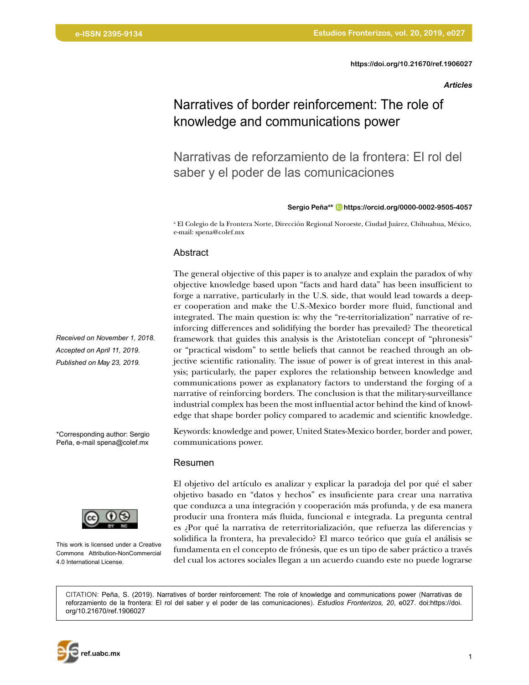## *Articles*

# Narratives of border reinforcement: The role of knowledge and communications power

Narrativas de reforzamiento de la frontera: El rol del saber y el poder de las comunicaciones

#### **Sergio Peñaa\* [https://orcid.org/0000-0002-9505-4057](https://orcid.org/0000-0002-9505-4057 )**

<sup>a</sup> El Colegio de la Frontera Norte, Dirección Regional Noroeste, Ciudad Juárez, Chihuahua, México, e-mail: spena@colef.mx

#### Abstract

The general objective of this paper is to analyze and explain the paradox of why objective knowledge based upon "facts and hard data" has been insufficient to forge a narrative, particularly in the U.S. side, that would lead towards a deeper cooperation and make the U.S.-Mexico border more fluid, functional and integrated. The main question is: why the "re-territorialization" narrative of reinforcing differences and solidifying the border has prevailed? The theoretical framework that guides this analysis is the Aristotelian concept of "phronesis" or "practical wisdom" to settle beliefs that cannot be reached through an objective scientific rationality. The issue of power is of great interest in this analysis; particularly, the paper explores the relationship between knowledge and communications power as explanatory factors to understand the forging of a narrative of reinforcing borders. The conclusion is that the military-surveillance industrial complex has been the most influential actor behind the kind of knowledge that shape border policy compared to academic and scientific knowledge.

Keywords: knowledge and power, United States-Mexico border, border and power, communications power.

#### Resumen

El objetivo del artículo es analizar y explicar la paradoja del por qué el saber objetivo basado en "datos y hechos" es insuficiente para crear una narrativa que conduzca a una integración y cooperación más profunda, y de esa manera producir una frontera más fluida, funcional e integrada. La pregunta central es ¿Por qué la narrativa de reterritorialización, que refuerza las diferencias y solidifica la frontera, ha prevalecido? El marco teórico que guía el análisis se fundamenta en el concepto de frónesis, que es un tipo de saber práctico a través del cual los actores sociales llegan a un acuerdo cuando este no puede lograrse

CITATION: Peña, S. (2019). Narratives of border reinforcement: The role of knowledge and communications power (Narrativas de reforzamiento de la frontera: El rol del saber y el poder de las comunicaciones). *Estudios Fronterizos, 20*, e027. doi:https://doi. org/[10.21670/ref.19060](http://10.21670/ref.1901001)27

*Received on November 1, 2018. Accepted on April 11, 2019. Published on May 23, 2019.*

\*Corresponding author: Sergio Peña, e-mail spena@colef.mx



This work is licensed under a Creative Commons Attribution-NonCommercial 4.0 International License.

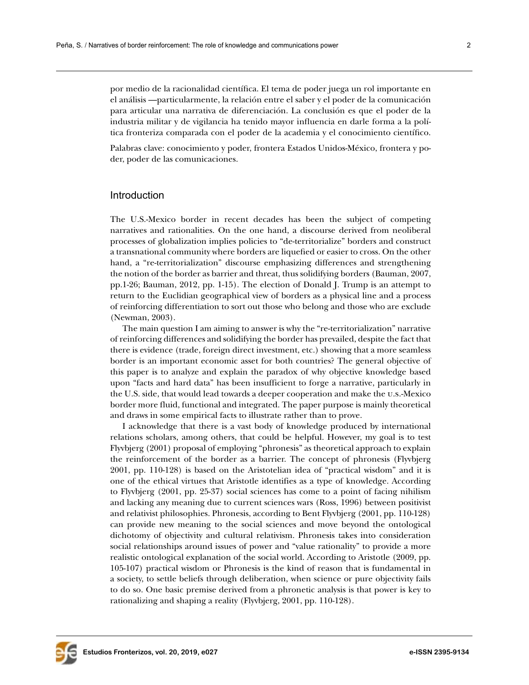por medio de la racionalidad científica. El tema de poder juega un rol importante en el análisis —particularmente, la relación entre el saber y el poder de la comunicación para articular una narrativa de diferenciación. La conclusión es que el poder de la industria militar y de vigilancia ha tenido mayor influencia en darle forma a la política fronteriza comparada con el poder de la academia y el conocimiento científico.

Palabras clave: conocimiento y poder, frontera Estados Unidos-México, frontera y poder, poder de las comunicaciones.

### Introduction

The U.S.-Mexico border in recent decades has been the subject of competing narratives and rationalities. On the one hand, a discourse derived from neoliberal processes of globalization implies policies to "de-territorialize" borders and construct a transnational community where borders are liquefied or easier to cross. On the other hand, a "re-territorialization" discourse emphasizing differences and strengthening the notion of the border as barrier and threat, thus solidifying borders (Bauman, 2007, pp.1-26; Bauman, 2012, pp. 1-15). The election of Donald J. Trump is an attempt to return to the Euclidian geographical view of borders as a physical line and a process of reinforcing differentiation to sort out those who belong and those who are exclude (Newman, 2003).

The main question I am aiming to answer is why the "re-territorialization" narrative of reinforcing differences and solidifying the border has prevailed, despite the fact that there is evidence (trade, foreign direct investment, etc.) showing that a more seamless border is an important economic asset for both countries? The general objective of this paper is to analyze and explain the paradox of why objective knowledge based upon "facts and hard data" has been insufficient to forge a narrative, particularly in the U.S. side, that would lead towards a deeper cooperation and make the u.s.-Mexico border more fluid, functional and integrated. The paper purpose is mainly theoretical and draws in some empirical facts to illustrate rather than to prove.

I acknowledge that there is a vast body of knowledge produced by international relations scholars, among others, that could be helpful. However, my goal is to test Flyvbjerg (2001) proposal of employing "phronesis" as theoretical approach to explain the reinforcement of the border as a barrier. The concept of phronesis (Flyvbjerg 2001, pp. 110-128) is based on the Aristotelian idea of "practical wisdom" and it is one of the ethical virtues that Aristotle identifies as a type of knowledge. According to Flyvbjerg (2001, pp. 25-37) social sciences has come to a point of facing nihilism and lacking any meaning due to current sciences wars (Ross, 1996) between positivist and relativist philosophies. Phronesis, according to Bent Flyvbjerg (2001, pp. 110-128) can provide new meaning to the social sciences and move beyond the ontological dichotomy of objectivity and cultural relativism. Phronesis takes into consideration social relationships around issues of power and "value rationality" to provide a more realistic ontological explanation of the social world. According to Aristotle (2009, pp. 105-107) practical wisdom or Phronesis is the kind of reason that is fundamental in a society, to settle beliefs through deliberation, when science or pure objectivity fails to do so. One basic premise derived from a phronetic analysis is that power is key to rationalizing and shaping a reality (Flyvbjerg, 2001, pp. 110-128).

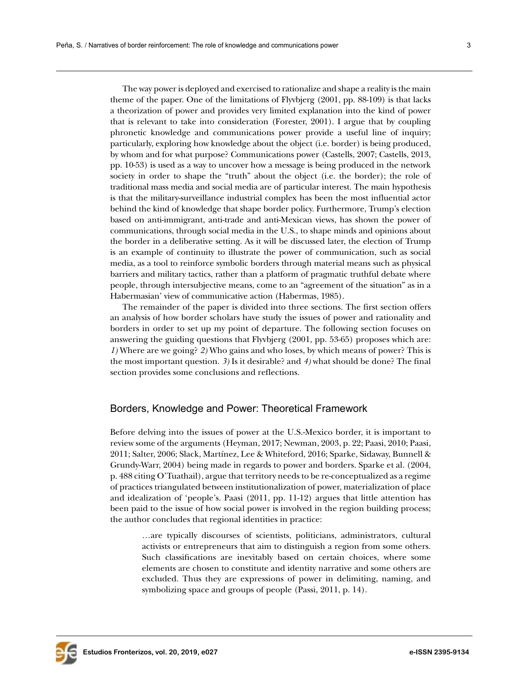The way power is deployed and exercised to rationalize and shape a reality is the main theme of the paper. One of the limitations of Flyvbjerg (2001, pp. 88-109) is that lacks a theorization of power and provides very limited explanation into the kind of power that is relevant to take into consideration (Forester, 2001). I argue that by coupling phronetic knowledge and communications power provide a useful line of inquiry; particularly, exploring how knowledge about the object (i.e. border) is being produced, by whom and for what purpose? Communications power (Castells, 2007; Castells, 2013, pp. 10-53) is used as a way to uncover how a message is being produced in the network society in order to shape the "truth" about the object (i.e. the border); the role of traditional mass media and social media are of particular interest. The main hypothesis is that the military-surveillance industrial complex has been the most influential actor behind the kind of knowledge that shape border policy. Furthermore, Trump's election based on anti-immigrant, anti-trade and anti-Mexican views, has shown the power of communications, through social media in the U.S., to shape minds and opinions about the border in a deliberative setting. As it will be discussed later, the election of Trump is an example of continuity to illustrate the power of communication, such as social media, as a tool to reinforce symbolic borders through material means such as physical barriers and military tactics, rather than a platform of pragmatic truthful debate where people, through intersubjective means, come to an "agreement of the situation" as in a Habermasian' view of communicative action (Habermas, 1985).

The remainder of the paper is divided into three sections. The first section offers an analysis of how border scholars have study the issues of power and rationality and borders in order to set up my point of departure. The following section focuses on answering the guiding questions that Flyvbjerg (2001, pp. 53-65) proposes which are: *1)* Where are we going? *2)* Who gains and who loses, by which means of power? This is the most important question. *3)* Is it desirable? and *4)* what should be done? The final section provides some conclusions and reflections.

# Borders, Knowledge and Power: Theoretical Framework

Before delving into the issues of power at the U.S.-Mexico border, it is important to review some of the arguments (Heyman, 2017; Newman, 2003, p. 22; Paasi, 2010; Paasi, 2011; Salter, 2006; Slack, Martínez, Lee & Whiteford, 2016; Sparke, Sidaway, Bunnell & Grundy-Warr, 2004) being made in regards to power and borders. Sparke et al. (2004, p. 488 citing O'Tuathail), argue that territory needs to be re-conceptualized as a regime of practices triangulated between institutionalization of power, materialization of place and idealization of 'people's. Paasi (2011, pp. 11-12) argues that little attention has been paid to the issue of how social power is involved in the region building process; the author concludes that regional identities in practice:

…are typically discourses of scientists, politicians, administrators, cultural activists or entrepreneurs that aim to distinguish a region from some others. Such classifications are inevitably based on certain choices, where some elements are chosen to constitute and identity narrative and some others are excluded. Thus they are expressions of power in delimiting, naming, and symbolizing space and groups of people (Passi, 2011, p. 14).

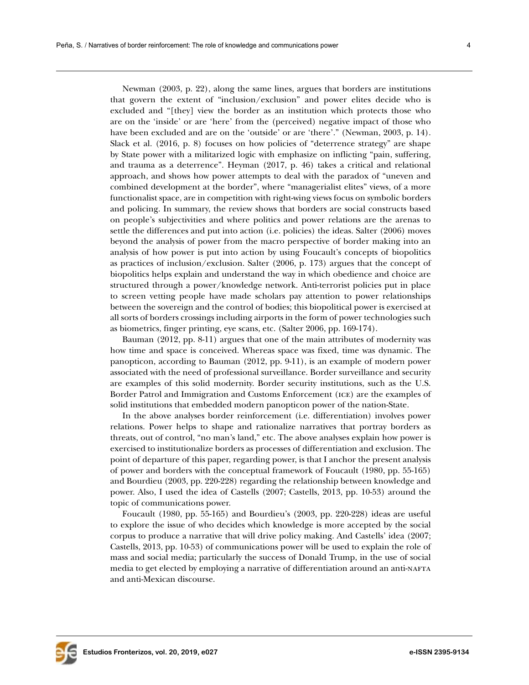Newman (2003, p. 22), along the same lines, argues that borders are institutions that govern the extent of "inclusion/exclusion" and power elites decide who is excluded and "[they] view the border as an institution which protects those who are on the 'inside' or are 'here' from the (perceived) negative impact of those who have been excluded and are on the 'outside' or are 'there'." (Newman, 2003, p. 14). Slack et al. (2016, p. 8) focuses on how policies of "deterrence strategy" are shape by State power with a militarized logic with emphasize on inflicting "pain, suffering, and trauma as a deterrence". Heyman (2017, p. 46) takes a critical and relational approach, and shows how power attempts to deal with the paradox of "uneven and combined development at the border", where "managerialist elites" views, of a more functionalist space, are in competition with right-wing views focus on symbolic borders and policing. In summary, the review shows that borders are social constructs based on people's subjectivities and where politics and power relations are the arenas to settle the differences and put into action (i.e. policies) the ideas. Salter (2006) moves beyond the analysis of power from the macro perspective of border making into an analysis of how power is put into action by using Foucault's concepts of biopolitics as practices of inclusion/exclusion. Salter (2006, p. 173) argues that the concept of biopolitics helps explain and understand the way in which obedience and choice are structured through a power/knowledge network. Anti-terrorist policies put in place to screen vetting people have made scholars pay attention to power relationships between the sovereign and the control of bodies; this biopolitical power is exercised at all sorts of borders crossings including airports in the form of power technologies such as biometrics, finger printing, eye scans, etc. (Salter 2006, pp. 169-174).

Bauman (2012, pp. 8-11) argues that one of the main attributes of modernity was how time and space is conceived. Whereas space was fixed, time was dynamic. The panopticon, according to Bauman (2012, pp. 9-11), is an example of modern power associated with the need of professional surveillance. Border surveillance and security are examples of this solid modernity. Border security institutions, such as the U.S. Border Patrol and Immigration and Customs Enforcement (ice) are the examples of solid institutions that embedded modern panopticon power of the nation-State.

In the above analyses border reinforcement (i.e. differentiation) involves power relations. Power helps to shape and rationalize narratives that portray borders as threats, out of control, "no man's land," etc. The above analyses explain how power is exercised to institutionalize borders as processes of differentiation and exclusion. The point of departure of this paper, regarding power, is that I anchor the present analysis of power and borders with the conceptual framework of Foucault (1980, pp. 55-165) and Bourdieu (2003, pp. 220-228) regarding the relationship between knowledge and power. Also, I used the idea of Castells (2007; Castells, 2013, pp. 10-53) around the topic of communications power.

Foucault (1980, pp. 55-165) and Bourdieu's (2003, pp. 220-228) ideas are useful to explore the issue of who decides which knowledge is more accepted by the social corpus to produce a narrative that will drive policy making. And Castells' idea (2007; Castells, 2013, pp. 10-53) of communications power will be used to explain the role of mass and social media; particularly the success of Donald Trump, in the use of social media to get elected by employing a narrative of differentiation around an anti-NAFTA and anti-Mexican discourse.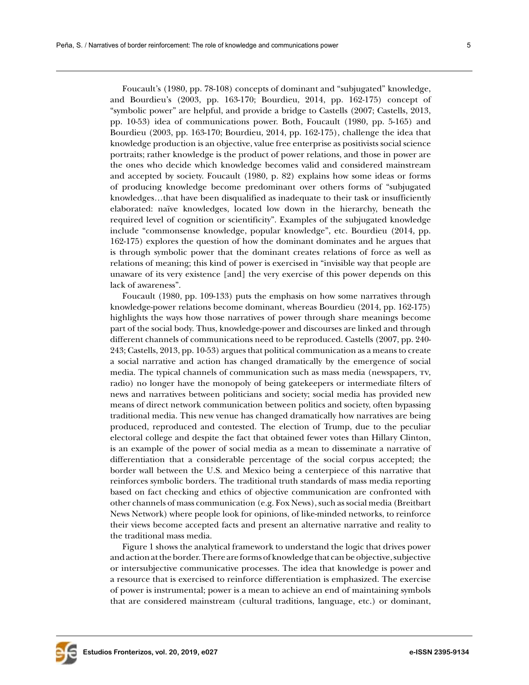Foucault's (1980, pp. 78-108) concepts of dominant and "subjugated" knowledge, and Bourdieu's (2003, pp. 163-170; Bourdieu, 2014, pp. 162-175) concept of "symbolic power" are helpful, and provide a bridge to Castells (2007; Castells, 2013, pp. 10-53) idea of communications power. Both, Foucault (1980, pp. 5-165) and Bourdieu (2003, pp. 163-170; Bourdieu, 2014, pp. 162-175), challenge the idea that knowledge production is an objective, value free enterprise as positivists social science portraits; rather knowledge is the product of power relations, and those in power are the ones who decide which knowledge becomes valid and considered mainstream and accepted by society. Foucault (1980, p. 82) explains how some ideas or forms of producing knowledge become predominant over others forms of "subjugated knowledges…that have been disqualified as inadequate to their task or insufficiently elaborated: naïve knowledges, located low down in the hierarchy, beneath the required level of cognition or scientificity". Examples of the subjugated knowledge include "commonsense knowledge, popular knowledge", etc. Bourdieu (2014, pp. 162-175) explores the question of how the dominant dominates and he argues that is through symbolic power that the dominant creates relations of force as well as relations of meaning; this kind of power is exercised in "invisible way that people are unaware of its very existence [and] the very exercise of this power depends on this lack of awareness".

Foucault (1980, pp. 109-133) puts the emphasis on how some narratives through knowledge-power relations become dominant, whereas Bourdieu (2014, pp. 162-175) highlights the ways how those narratives of power through share meanings become part of the social body. Thus, knowledge-power and discourses are linked and through different channels of communications need to be reproduced. Castells (2007, pp. 240- 243; Castells, 2013, pp. 10-53) argues that political communication as a means to create a social narrative and action has changed dramatically by the emergence of social media. The typical channels of communication such as mass media (newspapers, tv, radio) no longer have the monopoly of being gatekeepers or intermediate filters of news and narratives between politicians and society; social media has provided new means of direct network communication between politics and society, often bypassing traditional media. This new venue has changed dramatically how narratives are being produced, reproduced and contested. The election of Trump, due to the peculiar electoral college and despite the fact that obtained fewer votes than Hillary Clinton, is an example of the power of social media as a mean to disseminate a narrative of differentiation that a considerable percentage of the social corpus accepted; the border wall between the U.S. and Mexico being a centerpiece of this narrative that reinforces symbolic borders. The traditional truth standards of mass media reporting based on fact checking and ethics of objective communication are confronted with other channels of mass communication (e.g. Fox News), such as social media (Breitbart News Network) where people look for opinions, of like-minded networks, to reinforce their views become accepted facts and present an alternative narrative and reality to the traditional mass media.

Figure 1 shows the analytical framework to understand the logic that drives power and action at the border. There are forms of knowledge that can be objective, subjective or intersubjective communicative processes. The idea that knowledge is power and a resource that is exercised to reinforce differentiation is emphasized. The exercise of power is instrumental; power is a mean to achieve an end of maintaining symbols that are considered mainstream (cultural traditions, language, etc.) or dominant,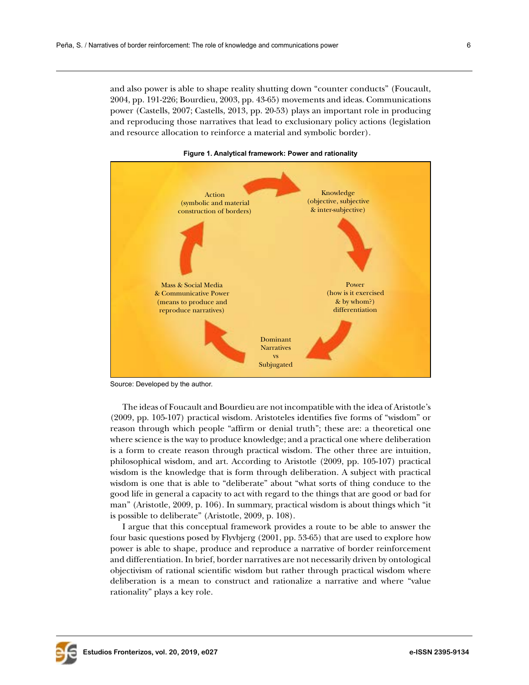and also power is able to shape reality shutting down "counter conducts" (Foucault, 2004, pp. 191-226; Bourdieu, 2003, pp. 43-65) movements and ideas. Communications power (Castells, 2007; Castells, 2013, pp. 20-53) plays an important role in producing and reproducing those narratives that lead to exclusionary policy actions (legislation and resource allocation to reinforce a material and symbolic border).



**Figure 1. Analytical framework: Power and rationality**

Source: Developed by the author.

The ideas of Foucault and Bourdieu are not incompatible with the idea of Aristotle's (2009, pp. 105-107) practical wisdom. Aristoteles identifies five forms of "wisdom" or reason through which people "affirm or denial truth"; these are: a theoretical one where science is the way to produce knowledge; and a practical one where deliberation is a form to create reason through practical wisdom. The other three are intuition, philosophical wisdom, and art. According to Aristotle (2009, pp. 105-107) practical wisdom is the knowledge that is form through deliberation. A subject with practical wisdom is one that is able to "deliberate" about "what sorts of thing conduce to the good life in general a capacity to act with regard to the things that are good or bad for man" (Aristotle, 2009, p. 106). In summary, practical wisdom is about things which "it is possible to deliberate" (Aristotle, 2009, p. 108).

I argue that this conceptual framework provides a route to be able to answer the four basic questions posed by Flyvbjerg (2001, pp. 53-65) that are used to explore how power is able to shape, produce and reproduce a narrative of border reinforcement and differentiation. In brief, border narratives are not necessarily driven by ontological objectivism of rational scientific wisdom but rather through practical wisdom where deliberation is a mean to construct and rationalize a narrative and where "value rationality" plays a key role.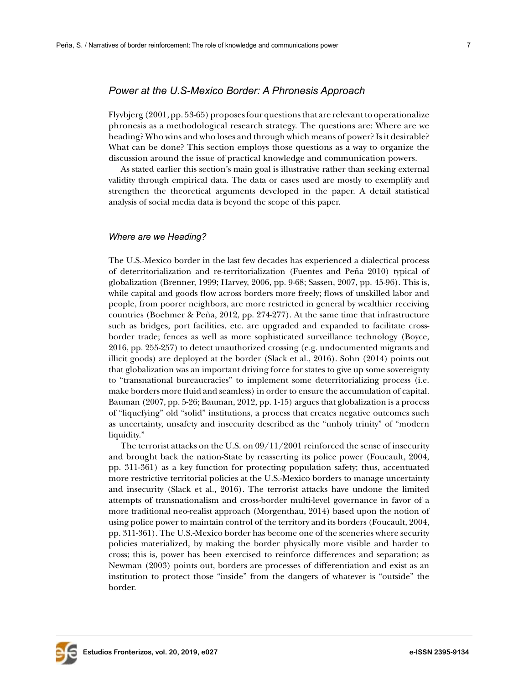# *Power at the U.S-Mexico Border: A Phronesis Approach*

Flyvbjerg (2001, pp. 53-65) proposes four questions that are relevant to operationalize phronesis as a methodological research strategy. The questions are: Where are we heading? Who wins and who loses and through which means of power? Is it desirable? What can be done? This section employs those questions as a way to organize the discussion around the issue of practical knowledge and communication powers.

As stated earlier this section's main goal is illustrative rather than seeking external validity through empirical data. The data or cases used are mostly to exemplify and strengthen the theoretical arguments developed in the paper. A detail statistical analysis of social media data is beyond the scope of this paper.

### *Where are we Heading?*

The U.S.-Mexico border in the last few decades has experienced a dialectical process of deterritorialization and re-territorialization (Fuentes and Peña 2010) typical of globalization (Brenner, 1999; Harvey, 2006, pp. 9-68; Sassen, 2007, pp. 45-96). This is, while capital and goods flow across borders more freely; flows of unskilled labor and people, from poorer neighbors, are more restricted in general by wealthier receiving countries (Boehmer & Peña, 2012, pp. 274-277). At the same time that infrastructure such as bridges, port facilities, etc. are upgraded and expanded to facilitate crossborder trade; fences as well as more sophisticated surveillance technology (Boyce, 2016, pp. 255-257) to detect unauthorized crossing (e.g. undocumented migrants and illicit goods) are deployed at the border (Slack et al., 2016). Sohn (2014) points out that globalization was an important driving force for states to give up some sovereignty to "transnational bureaucracies" to implement some deterritorializing process (i.e. make borders more fluid and seamless) in order to ensure the accumulation of capital. Bauman (2007, pp. 5-26; Bauman, 2012, pp. 1-15) argues that globalization is a process of "liquefying" old "solid" institutions, a process that creates negative outcomes such as uncertainty, unsafety and insecurity described as the "unholy trinity" of "modern liquidity."

The terrorist attacks on the U.S. on 09/11/2001 reinforced the sense of insecurity and brought back the nation-State by reasserting its police power (Foucault, 2004, pp. 311-361) as a key function for protecting population safety; thus, accentuated more restrictive territorial policies at the U.S.-Mexico borders to manage uncertainty and insecurity (Slack et al., 2016). The terrorist attacks have undone the limited attempts of transnationalism and cross-border multi-level governance in favor of a more traditional neo-realist approach (Morgenthau, 2014) based upon the notion of using police power to maintain control of the territory and its borders (Foucault, 2004, pp. 311-361). The U.S.-Mexico border has become one of the sceneries where security policies materialized, by making the border physically more visible and harder to cross; this is, power has been exercised to reinforce differences and separation; as Newman (2003) points out, borders are processes of differentiation and exist as an institution to protect those "inside" from the dangers of whatever is "outside" the border.

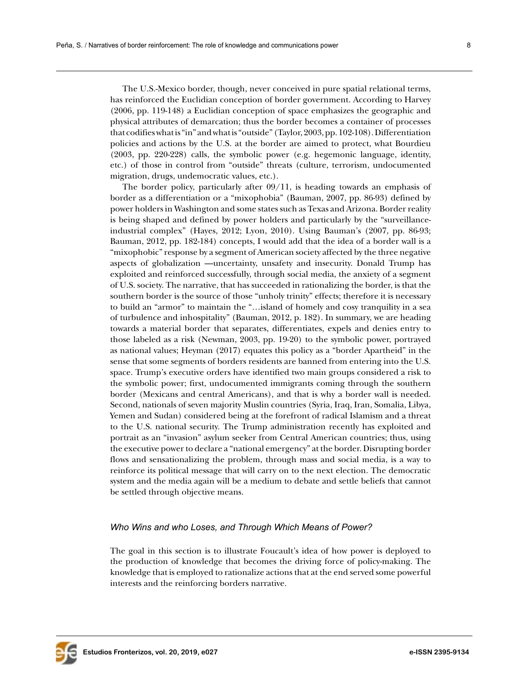The U.S.-Mexico border, though, never conceived in pure spatial relational terms, has reinforced the Euclidian conception of border government. According to Harvey (2006, pp. 119-148) a Euclidian conception of space emphasizes the geographic and physical attributes of demarcation; thus the border becomes a container of processes that codifies what is "in" and what is "outside" (Taylor, 2003, pp. 102-108). Differentiation policies and actions by the U.S. at the border are aimed to protect, what Bourdieu (2003, pp. 220-228) calls, the symbolic power (e.g. hegemonic language, identity, etc.) of those in control from "outside" threats (culture, terrorism, undocumented migration, drugs, undemocratic values, etc.).

The border policy, particularly after 09/11, is heading towards an emphasis of border as a differentiation or a "mixophobia" (Bauman, 2007, pp. 86-93) defined by power holders in Washington and some states such as Texas and Arizona. Border reality is being shaped and defined by power holders and particularly by the "surveillanceindustrial complex" (Hayes, 2012; Lyon, 2010). Using Bauman's (2007, pp. 86-93; Bauman, 2012, pp. 182-184) concepts, I would add that the idea of a border wall is a "mixophobic" response by a segment of American society affected by the three negative aspects of globalization —uncertainty, unsafety and insecurity. Donald Trump has exploited and reinforced successfully, through social media, the anxiety of a segment of U.S. society. The narrative, that has succeeded in rationalizing the border, is that the southern border is the source of those "unholy trinity" effects; therefore it is necessary to build an "armor" to maintain the "…island of homely and cosy tranquility in a sea of turbulence and inhospitality" (Bauman, 2012, p. 182). In summary, we are heading towards a material border that separates, differentiates, expels and denies entry to those labeled as a risk (Newman, 2003, pp. 19-20) to the symbolic power, portrayed as national values; Heyman (2017) equates this policy as a "border Apartheid" in the sense that some segments of borders residents are banned from entering into the U.S. space. Trump's executive orders have identified two main groups considered a risk to the symbolic power; first, undocumented immigrants coming through the southern border (Mexicans and central Americans), and that is why a border wall is needed. Second, nationals of seven majority Muslin countries (Syria, Iraq, Iran, Somalia, Libya, Yemen and Sudan) considered being at the forefront of radical Islamism and a threat to the U.S. national security. The Trump administration recently has exploited and portrait as an "invasion" asylum seeker from Central American countries; thus, using the executive power to declare a "national emergency" at the border. Disrupting border flows and sensationalizing the problem, through mass and social media, is a way to reinforce its political message that will carry on to the next election. The democratic system and the media again will be a medium to debate and settle beliefs that cannot be settled through objective means.

#### *Who Wins and who Loses, and Through Which Means of Power?*

The goal in this section is to illustrate Foucault's idea of how power is deployed to the production of knowledge that becomes the driving force of policy-making. The knowledge that is employed to rationalize actions that at the end served some powerful interests and the reinforcing borders narrative.

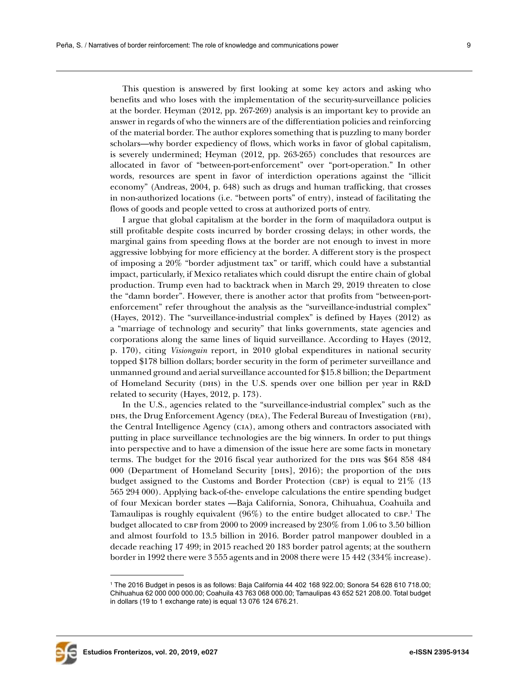This question is answered by first looking at some key actors and asking who benefits and who loses with the implementation of the security-surveillance policies at the border. Heyman (2012, pp. 267-269) analysis is an important key to provide an answer in regards of who the winners are of the differentiation policies and reinforcing of the material border. The author explores something that is puzzling to many border scholars—why border expediency of flows, which works in favor of global capitalism, is severely undermined; Heyman (2012, pp. 263-265) concludes that resources are allocated in favor of "between-port-enforcement" over "port-operation." In other words, resources are spent in favor of interdiction operations against the "illicit economy" (Andreas, 2004, p. 648) such as drugs and human trafficking, that crosses in non-authorized locations (i.e. "between ports" of entry), instead of facilitating the flows of goods and people vetted to cross at authorized ports of entry.

I argue that global capitalism at the border in the form of maquiladora output is still profitable despite costs incurred by border crossing delays; in other words, the marginal gains from speeding flows at the border are not enough to invest in more aggressive lobbying for more efficiency at the border. A different story is the prospect of imposing a 20% "border adjustment tax" or tariff, which could have a substantial impact, particularly, if Mexico retaliates which could disrupt the entire chain of global production. Trump even had to backtrack when in March 29, 2019 threaten to close the "damn border". However, there is another actor that profits from "between-portenforcement" refer throughout the analysis as the "surveillance-industrial complex" (Hayes, 2012). The "surveillance-industrial complex" is defined by Hayes (2012) as a "marriage of technology and security" that links governments, state agencies and corporations along the same lines of liquid surveillance. According to Hayes (2012, p. 170), citing *Visiongain* report, in 2010 global expenditures in national security topped \$178 billion dollars; border security in the form of perimeter surveillance and unmanned ground and aerial surveillance accounted for \$15.8 billion; the Department of Homeland Security (dhs) in the U.S. spends over one billion per year in R&D related to security (Hayes, 2012, p. 173).

In the U.S., agencies related to the "surveillance-industrial complex" such as the dhs, the Drug Enforcement Agency (DEA), The Federal Bureau of Investigation (FBI), the Central Intelligence Agency (cia), among others and contractors associated with putting in place surveillance technologies are the big winners. In order to put things into perspective and to have a dimension of the issue here are some facts in monetary terms. The budget for the 2016 fiscal year authorized for the DHS was \$64 858 484 000 (Department of Homeland Security [DHS], 2016); the proportion of the DHS budget assigned to the Customs and Border Protection (CBP) is equal to  $21\%$  (13) 565 294 000). Applying back-of-the- envelope calculations the entire spending budget of four Mexican border states —Baja California, Sonora, Chihuahua, Coahuila and Tamaulipas is roughly equivalent  $(96%)$  to the entire budget allocated to CBP.<sup>1</sup> The budget allocated to CBP from  $2000$  to  $2009$  increased by  $230\%$  from 1.06 to 3.50 billion and almost fourfold to 13.5 billion in 2016. Border patrol manpower doubled in a decade reaching 17 499; in 2015 reached 20 183 border patrol agents; at the southern border in 1992 there were 3 555 agents and in 2008 there were 15 442 (334% increase).



<sup>1</sup> The 2016 Budget in pesos is as follows: Baja California 44 402 168 922.00; Sonora 54 628 610 718.00; Chihuahua 62 000 000 000.00; Coahuila 43 763 068 000.00; Tamaulipas 43 652 521 208.00. Total budget in dollars (19 to 1 exchange rate) is equal 13 076 124 676.21.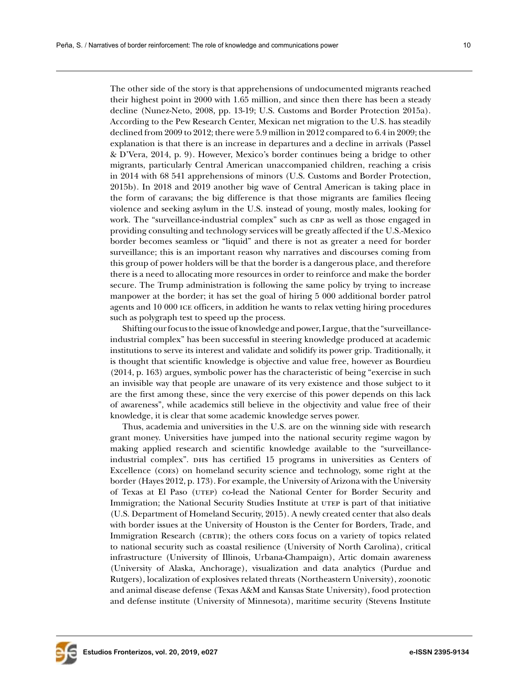The other side of the story is that apprehensions of undocumented migrants reached their highest point in 2000 with 1.65 million, and since then there has been a steady decline (Nunez-Neto, 2008, pp. 13-19; U.S. Customs and Border Protection 2015a). According to the Pew Research Center, Mexican net migration to the U.S. has steadily declined from 2009 to 2012; there were 5.9 million in 2012 compared to 6.4 in 2009; the explanation is that there is an increase in departures and a decline in arrivals (Passel & D'Vera, 2014, p. 9). However, Mexico's border continues being a bridge to other migrants, particularly Central American unaccompanied children, reaching a crisis in 2014 with 68 541 apprehensions of minors (U.S. Customs and Border Protection, 2015b). In 2018 and 2019 another big wave of Central American is taking place in the form of caravans; the big difference is that those migrants are families fleeing violence and seeking asylum in the U.S. instead of young, mostly males, looking for work. The "surveillance-industrial complex" such as CBP as well as those engaged in providing consulting and technology services will be greatly affected if the U.S.-Mexico border becomes seamless or "liquid" and there is not as greater a need for border surveillance; this is an important reason why narratives and discourses coming from this group of power holders will be that the border is a dangerous place, and therefore there is a need to allocating more resources in order to reinforce and make the border secure. The Trump administration is following the same policy by trying to increase manpower at the border; it has set the goal of hiring 5 000 additional border patrol agents and 10 000 ice officers, in addition he wants to relax vetting hiring procedures such as polygraph test to speed up the process.

Shifting our focus to the issue of knowledge and power, I argue, that the "surveillanceindustrial complex" has been successful in steering knowledge produced at academic institutions to serve its interest and validate and solidify its power grip. Traditionally, it is thought that scientific knowledge is objective and value free, however as Bourdieu (2014, p. 163) argues, symbolic power has the characteristic of being "exercise in such an invisible way that people are unaware of its very existence and those subject to it are the first among these, since the very exercise of this power depends on this lack of awareness", while academics still believe in the objectivity and value free of their knowledge, it is clear that some academic knowledge serves power.

Thus, academia and universities in the U.S. are on the winning side with research grant money. Universities have jumped into the national security regime wagon by making applied research and scientific knowledge available to the "surveillanceindustrial complex". DHs has certified 15 programs in universities as Centers of Excellence (coes) on homeland security science and technology, some right at the border (Hayes 2012, p. 173). For example, the University of Arizona with the University of Texas at El Paso (utep) co-lead the National Center for Border Security and Immigration; the National Security Studies Institute at utep is part of that initiative (U.S. Department of Homeland Security, 2015). A newly created center that also deals with border issues at the University of Houston is the Center for Borders, Trade, and Immigration Research (CBTIR); the others coes focus on a variety of topics related to national security such as coastal resilience (University of North Carolina), critical infrastructure (University of Illinois, Urbana-Champaign), Artic domain awareness (University of Alaska, Anchorage), visualization and data analytics (Purdue and Rutgers), localization of explosives related threats (Northeastern University), zoonotic and animal disease defense (Texas A&M and Kansas State University), food protection and defense institute (University of Minnesota), maritime security (Stevens Institute

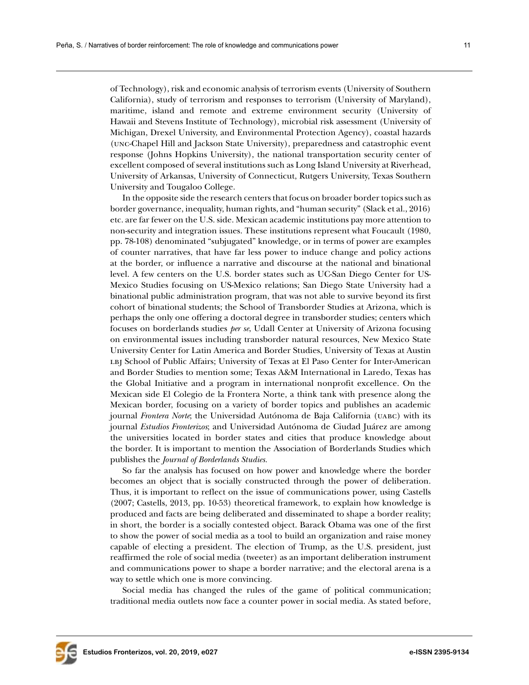of Technology), risk and economic analysis of terrorism events (University of Southern California), study of terrorism and responses to terrorism (University of Maryland), maritime, island and remote and extreme environment security (University of Hawaii and Stevens Institute of Technology), microbial risk assessment (University of Michigan, Drexel University, and Environmental Protection Agency), coastal hazards (unc-Chapel Hill and Jackson State University), preparedness and catastrophic event response (Johns Hopkins University), the national transportation security center of excellent composed of several institutions such as Long Island University at Riverhead, University of Arkansas, University of Connecticut, Rutgers University, Texas Southern University and Tougaloo College.

In the opposite side the research centers that focus on broader border topics such as border governance, inequality, human rights, and "human security" (Slack et al., 2016) etc. are far fewer on the U.S. side. Mexican academic institutions pay more attention to non-security and integration issues. These institutions represent what Foucault (1980, pp. 78-108) denominated "subjugated" knowledge, or in terms of power are examples of counter narratives, that have far less power to induce change and policy actions at the border, or influence a narrative and discourse at the national and binational level. A few centers on the U.S. border states such as UC-San Diego Center for US-Mexico Studies focusing on US-Mexico relations; San Diego State University had a binational public administration program, that was not able to survive beyond its first cohort of binational students; the School of Transborder Studies at Arizona, which is perhaps the only one offering a doctoral degree in transborder studies; centers which focuses on borderlands studies *per se*, Udall Center at University of Arizona focusing on environmental issues including transborder natural resources, New Mexico State University Center for Latin America and Border Studies, University of Texas at Austin LBJ School of Public Affairs; University of Texas at El Paso Center for Inter-American and Border Studies to mention some; Texas A&M International in Laredo, Texas has the Global Initiative and a program in international nonprofit excellence. On the Mexican side El Colegio de la Frontera Norte, a think tank with presence along the Mexican border, focusing on a variety of border topics and publishes an academic journal *Frontera Norte*; the Universidad Autónoma de Baja California (uabc) with its journal *Estudios Fronterizos*; and Universidad Autónoma de Ciudad Juárez are among the universities located in border states and cities that produce knowledge about the border. It is important to mention the Association of Borderlands Studies which publishes the *Journal of Borderlands Studies.* 

So far the analysis has focused on how power and knowledge where the border becomes an object that is socially constructed through the power of deliberation. Thus, it is important to reflect on the issue of communications power, using Castells (2007; Castells, 2013, pp. 10-53) theoretical framework, to explain how knowledge is produced and facts are being deliberated and disseminated to shape a border reality; in short, the border is a socially contested object. Barack Obama was one of the first to show the power of social media as a tool to build an organization and raise money capable of electing a president. The election of Trump, as the U.S. president, just reaffirmed the role of social media (tweeter) as an important deliberation instrument and communications power to shape a border narrative; and the electoral arena is a way to settle which one is more convincing.

Social media has changed the rules of the game of political communication; traditional media outlets now face a counter power in social media. As stated before,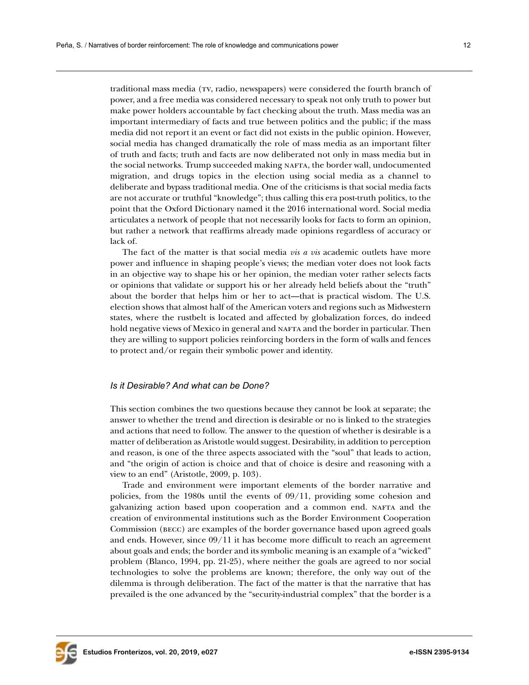traditional mass media (tv, radio, newspapers) were considered the fourth branch of power, and a free media was considered necessary to speak not only truth to power but make power holders accountable by fact checking about the truth. Mass media was an important intermediary of facts and true between politics and the public; if the mass media did not report it an event or fact did not exists in the public opinion. However, social media has changed dramatically the role of mass media as an important filter of truth and facts; truth and facts are now deliberated not only in mass media but in the social networks. Trump succeeded making nafta, the border wall, undocumented migration, and drugs topics in the election using social media as a channel to deliberate and bypass traditional media. One of the criticisms is that social media facts are not accurate or truthful "knowledge"; thus calling this era post-truth politics, to the point that the Oxford Dictionary named it the 2016 international word. Social media articulates a network of people that not necessarily looks for facts to form an opinion, but rather a network that reaffirms already made opinions regardless of accuracy or lack of.

The fact of the matter is that social media *vis a vis* academic outlets have more power and influence in shaping people's views; the median voter does not look facts in an objective way to shape his or her opinion, the median voter rather selects facts or opinions that validate or support his or her already held beliefs about the "truth" about the border that helps him or her to act—that is practical wisdom. The U.S. election shows that almost half of the American voters and regions such as Midwestern states, where the rustbelt is located and affected by globalization forces, do indeed hold negative views of Mexico in general and NAFTA and the border in particular. Then they are willing to support policies reinforcing borders in the form of walls and fences to protect and/or regain their symbolic power and identity.

## *Is it Desirable? And what can be Done?*

This section combines the two questions because they cannot be look at separate; the answer to whether the trend and direction is desirable or no is linked to the strategies and actions that need to follow. The answer to the question of whether is desirable is a matter of deliberation as Aristotle would suggest. Desirability, in addition to perception and reason, is one of the three aspects associated with the "soul" that leads to action, and "the origin of action is choice and that of choice is desire and reasoning with a view to an end" (Aristotle, 2009, p. 103).

Trade and environment were important elements of the border narrative and policies, from the 1980s until the events of 09/11, providing some cohesion and galvanizing action based upon cooperation and a common end. nafta and the creation of environmental institutions such as the Border Environment Cooperation Commission (becc) are examples of the border governance based upon agreed goals and ends. However, since 09/11 it has become more difficult to reach an agreement about goals and ends; the border and its symbolic meaning is an example of a "wicked" problem (Blanco, 1994, pp. 21-25), where neither the goals are agreed to nor social technologies to solve the problems are known; therefore, the only way out of the dilemma is through deliberation. The fact of the matter is that the narrative that has prevailed is the one advanced by the "security-industrial complex" that the border is a

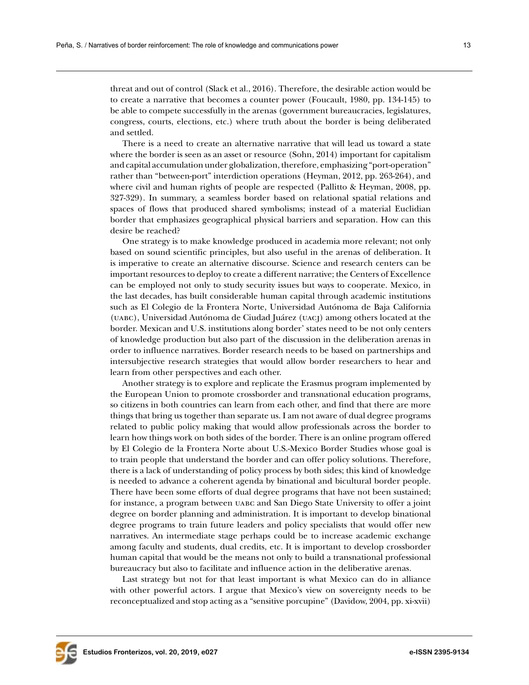threat and out of control (Slack et al., 2016). Therefore, the desirable action would be to create a narrative that becomes a counter power (Foucault, 1980, pp. 134-145) to be able to compete successfully in the arenas (government bureaucracies, legislatures, congress, courts, elections, etc.) where truth about the border is being deliberated and settled.

There is a need to create an alternative narrative that will lead us toward a state where the border is seen as an asset or resource (Sohn, 2014) important for capitalism and capital accumulation under globalization, therefore, emphasizing "port-operation" rather than "between-port" interdiction operations (Heyman, 2012, pp. 263-264), and where civil and human rights of people are respected (Pallitto & Heyman, 2008, pp. 327-329). In summary, a seamless border based on relational spatial relations and spaces of flows that produced shared symbolisms; instead of a material Euclidian border that emphasizes geographical physical barriers and separation. How can this desire be reached?

One strategy is to make knowledge produced in academia more relevant; not only based on sound scientific principles, but also useful in the arenas of deliberation. It is imperative to create an alternative discourse. Science and research centers can be important resources to deploy to create a different narrative; the Centers of Excellence can be employed not only to study security issues but ways to cooperate. Mexico, in the last decades, has built considerable human capital through academic institutions such as El Colegio de la Frontera Norte, Universidad Autónoma de Baja California (uabc), Universidad Autónoma de Ciudad Juárez (uacj) among others located at the border. Mexican and U.S. institutions along border' states need to be not only centers of knowledge production but also part of the discussion in the deliberation arenas in order to influence narratives. Border research needs to be based on partnerships and intersubjective research strategies that would allow border researchers to hear and learn from other perspectives and each other.

Another strategy is to explore and replicate the Erasmus program implemented by the European Union to promote crossborder and transnational education programs, so citizens in both countries can learn from each other, and find that there are more things that bring us together than separate us. I am not aware of dual degree programs related to public policy making that would allow professionals across the border to learn how things work on both sides of the border. There is an online program offered by El Colegio de la Frontera Norte about U.S.-Mexico Border Studies whose goal is to train people that understand the border and can offer policy solutions. Therefore, there is a lack of understanding of policy process by both sides; this kind of knowledge is needed to advance a coherent agenda by binational and bicultural border people. There have been some efforts of dual degree programs that have not been sustained; for instance, a program between uabc and San Diego State University to offer a joint degree on border planning and administration. It is important to develop binational degree programs to train future leaders and policy specialists that would offer new narratives. An intermediate stage perhaps could be to increase academic exchange among faculty and students, dual credits, etc. It is important to develop crossborder human capital that would be the means not only to build a transnational professional bureaucracy but also to facilitate and influence action in the deliberative arenas.

Last strategy but not for that least important is what Mexico can do in alliance with other powerful actors. I argue that Mexico's view on sovereignty needs to be reconceptualized and stop acting as a "sensitive porcupine" (Davidow, 2004, pp. xi-xvii)

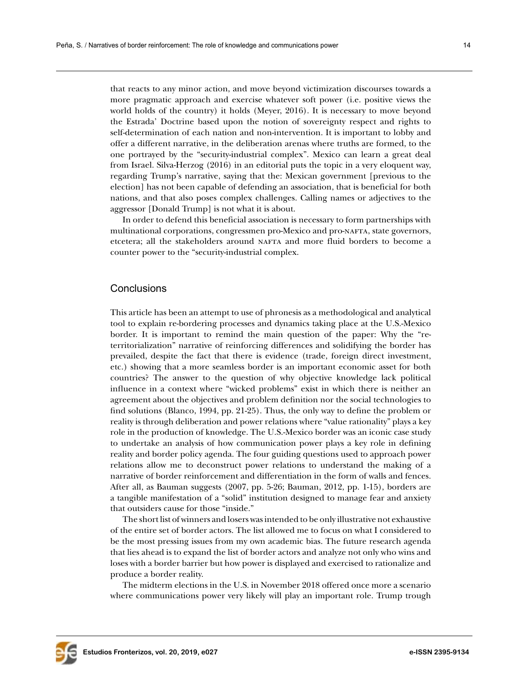that reacts to any minor action, and move beyond victimization discourses towards a more pragmatic approach and exercise whatever soft power (i.e. positive views the world holds of the country) it holds (Meyer, 2016). It is necessary to move beyond the Estrada' Doctrine based upon the notion of sovereignty respect and rights to self-determination of each nation and non-intervention. It is important to lobby and offer a different narrative, in the deliberation arenas where truths are formed, to the one portrayed by the "security-industrial complex". Mexico can learn a great deal from Israel. Silva-Herzog (2016) in an editorial puts the topic in a very eloquent way, regarding Trump's narrative, saying that the: Mexican government [previous to the election] has not been capable of defending an association, that is beneficial for both nations, and that also poses complex challenges. Calling names or adjectives to the aggressor [Donald Trump] is not what it is about.

In order to defend this beneficial association is necessary to form partnerships with multinational corporations, congressmen pro-Mexico and pro-nafta, state governors, etcetera; all the stakeholders around nafta and more fluid borders to become a counter power to the "security-industrial complex.

# **Conclusions**

This article has been an attempt to use of phronesis as a methodological and analytical tool to explain re-bordering processes and dynamics taking place at the U.S.-Mexico border. It is important to remind the main question of the paper: Why the "reterritorialization" narrative of reinforcing differences and solidifying the border has prevailed, despite the fact that there is evidence (trade, foreign direct investment, etc.) showing that a more seamless border is an important economic asset for both countries? The answer to the question of why objective knowledge lack political influence in a context where "wicked problems" exist in which there is neither an agreement about the objectives and problem definition nor the social technologies to find solutions (Blanco, 1994, pp. 21-25). Thus, the only way to define the problem or reality is through deliberation and power relations where "value rationality" plays a key role in the production of knowledge. The U.S.-Mexico border was an iconic case study to undertake an analysis of how communication power plays a key role in defining reality and border policy agenda. The four guiding questions used to approach power relations allow me to deconstruct power relations to understand the making of a narrative of border reinforcement and differentiation in the form of walls and fences. After all, as Bauman suggests (2007, pp. 5-26; Bauman, 2012, pp. 1-15), borders are a tangible manifestation of a "solid" institution designed to manage fear and anxiety that outsiders cause for those "inside."

The short list of winners and losers was intended to be only illustrative not exhaustive of the entire set of border actors. The list allowed me to focus on what I considered to be the most pressing issues from my own academic bias. The future research agenda that lies ahead is to expand the list of border actors and analyze not only who wins and loses with a border barrier but how power is displayed and exercised to rationalize and produce a border reality.

The midterm elections in the U.S. in November 2018 offered once more a scenario where communications power very likely will play an important role. Trump trough

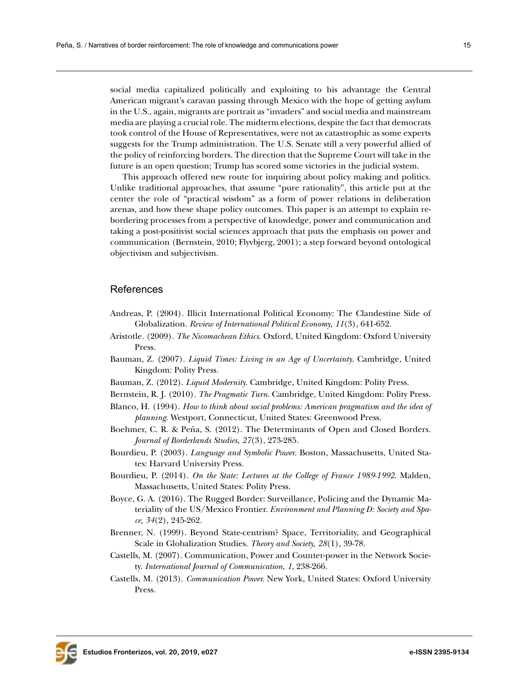social media capitalized politically and exploiting to his advantage the Central American migrant's caravan passing through Mexico with the hope of getting asylum in the U.S., again, migrants are portrait as "invaders" and social media and mainstream media are playing a crucial role. The midterm elections, despite the fact that democrats took control of the House of Representatives, were not as catastrophic as some experts suggests for the Trump administration. The U.S. Senate still a very powerful allied of the policy of reinforcing borders. The direction that the Supreme Court will take in the future is an open question; Trump has scored some victories in the judicial system.

This approach offered new route for inquiring about policy making and politics. Unlike traditional approaches, that assume "pure rationality", this article put at the center the role of "practical wisdom" as a form of power relations in deliberation arenas, and how these shape policy outcomes. This paper is an attempt to explain rebordering processes from a perspective of knowledge, power and communication and taking a post-positivist social sciences approach that puts the emphasis on power and communication (Bernstein, 2010; Flyvbjerg, 2001); a step forward beyond ontological objectivism and subjectivism.

# References

- Andreas, P. (2004). Illicit International Political Economy: The Clandestine Side of Globalization. *Review of International Political Economy, 11*(3), 641-652.
- Aristotle. (2009). *The Nicomachean Ethics*. Oxford, United Kingdom: Oxford University Press.
- Bauman, Z. (2007). *Liquid Times: Living in an Age of Uncertainty*. Cambridge, United Kingdom: Polity Press.
- Bauman, Z. (2012). *Liquid Modernity.* Cambridge, United Kingdom: Polity Press.
- Bernstein, R. J. (2010). *The Pragmatic Turn*. Cambridge, United Kingdom: Polity Press.
- Blanco, H. (1994). *How to think about social problems: American pragmatism and the idea of planning*. Westport, Connecticut, United States: Greenwood Press.
- Boehmer, C. R. & Peña, S. (2012). The Determinants of Open and Closed Borders. *Journal of Borderlands Studies, 27*(3), 273-285.
- Bourdieu, P. (2003). *Language and Symbolic Power*. Boston, Massachusetts, United States: Harvard University Press.
- Bourdieu, P. (2014). *On the State: Lectures at the College of France 1989-1992*. Malden, Massachusetts, United States: Polity Press.
- Boyce, G. A. (2016). The Rugged Border: Surveillance, Policing and the Dynamic Materiality of the US/Mexico Frontier. *Environment and Planning D: Society and Space, 34*(2), 245-262.
- Brenner, N. (1999). Beyond State-centrism? Space, Territoriality, and Geographical Scale in Globalization Studies. *Theory and Society, 28*(1), 39-78.
- Castells, M. (2007). Communication, Power and Counter-power in the Network Society. *International Journal of Communication, 1*, 238-266.
- Castells, M. (2013). *Communication Power.* New York, United States: Oxford University Press.

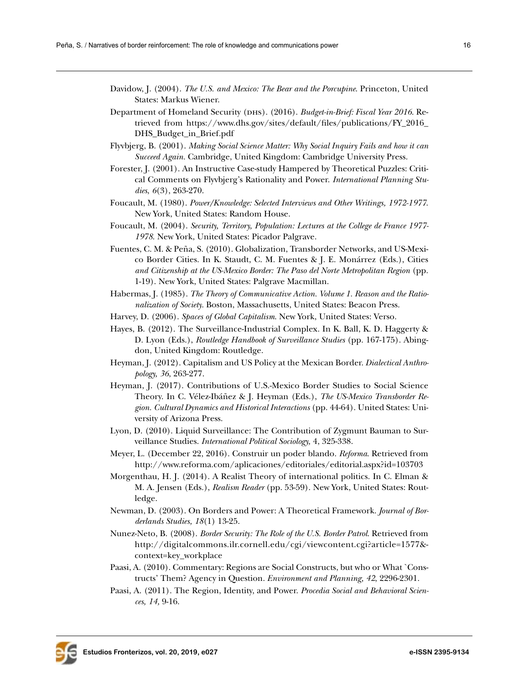- Davidow, J. (2004). *The U.S. and Mexico: The Bear and the Porcupine*. Princeton, United States: Markus Wiener.
- Department of Homeland Security (dhs). (2016). *Budget-in-Brief: Fiscal Year 2016*. Retrieved from [https://www.dhs.gov/sites/default/files/publications/FY\\_2016\\_](https://www.dhs.gov/sites/default/files/publications/FY_2016_DHS_Budget_in_Brief.pdf) [DHS\\_Budget\\_in\\_Brief.pdf](https://www.dhs.gov/sites/default/files/publications/FY_2016_DHS_Budget_in_Brief.pdf)
- Flyvbjerg, B. (2001). *Making Social Science Matter: Why Social Inquiry Fails and how it can Succeed Again.* Cambridge, United Kingdom: Cambridge University Press.
- Forester, J. (2001). An Instructive Case-study Hampered by Theoretical Puzzles: Critical Comments on Flyvbjerg's Rationality and Power. *International Planning Studies*, *6*(3), 263-270.
- Foucault, M. (1980). *Power/Knowledge: Selected Interviews and Other Writings, 1972-1977*. New York, United States: Random House.
- Foucault, M. (2004). *Security, Territory, Population: Lectures at the College de France 1977- 1978*. New York, United States: Picador Palgrave.
- Fuentes, C. M. & Peña, S. (2010). Globalization, Transborder Networks, and US-Mexico Border Cities. In K. Staudt, C. M. Fuentes & J. E. Monárrez (Eds.), Cities *and Citizenship at the US-Mexico Border: The Paso del Norte Metropolitan Region* (pp. 1-19). New York, United States: Palgrave Macmillan.
- Habermas, J. (1985). *The Theory of Communicative Action. Volume 1. Reason and the Rationalization of Society*. Boston, Massachusetts, United States: Beacon Press.
- Harvey, D. (2006). *Spaces of Global Capitalism*. New York, United States: Verso.
- Hayes, B. (2012). The Surveillance-Industrial Complex. In K. Ball, K. D. Haggerty & D. Lyon (Eds.), *Routledge Handbook of Surveillance Studies* (pp. 167-175). Abingdon, United Kingdom: Routledge.
- Heyman, J. (2012). Capitalism and US Policy at the Mexican Border. *Dialectical Anthropology, 36*, 263-277.
- Heyman, J. (2017). Contributions of U.S.-Mexico Border Studies to Social Science Theory. In C. Vélez-Ibáñez & J. Heyman (Eds.), *The US-Mexico Transborder Region. Cultural Dynamics and Historical Interactions* (pp. 44-64). United States: University of Arizona Press.
- Lyon, D. (2010). Liquid Surveillance: The Contribution of Zygmunt Bauman to Surveillance Studies. *International Political Sociology,* 4, 325-338.
- Meyer, L. (December 22, 2016). Construir un poder blando. *Reforma*. Retrieved from [http://www.reforma.com/aplicaciones/editoriales/editorial.aspx?id=103703](http://www.reforma.com/aplicaciones/editoriales/editorial.aspx?id=103703 )
- Morgenthau, H. J. (2014). A Realist Theory of international politics. In C. Elman & M. A. Jensen (Eds.), *Realism Reader* (pp. 53-59). New York, United States: Routledge.
- Newman, D. (2003). On Borders and Power: A Theoretical Framework. *Journal of Borderlands Studies, 18*(1) 13-25.
- Nunez-Neto, B. (2008). *Border Security: The Role of the U.S. Border Patrol*. Retrieved from [http://digitalcommons.ilr.cornell.edu/cgi/viewcontent.cgi?article=1577&](http://digitalcommons.ilr.cornell.edu/cgi/viewcontent.cgi?article=1577&context=key_workplace ) [context=key\\_workplace](http://digitalcommons.ilr.cornell.edu/cgi/viewcontent.cgi?article=1577&context=key_workplace )
- Paasi, A. (2010). Commentary: Regions are Social Constructs, but who or What `Constructs' Them? Agency in Question. *Environment and Planning, 42*, 2296-2301.
- Paasi, A. (2011). The Region, Identity, and Power. *Procedia Social and Behavioral Sciences, 14,* 9-16.